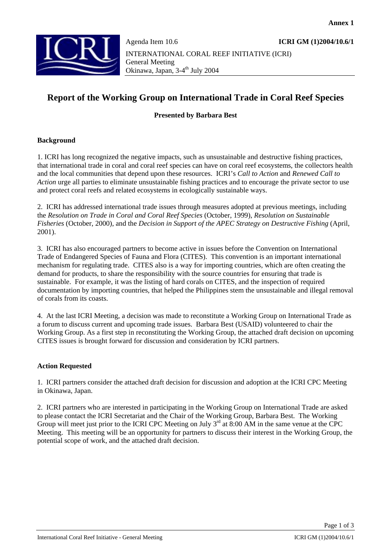

# **Report of the Working Group on International Trade in Coral Reef Species**

### **Presented by Barbara Best**

#### **Background**

1. ICRI has long recognized the negative impacts, such as unsustainable and destructive fishing practices, that international trade in coral and coral reef species can have on coral reef ecosystems, the collectors health and the local communities that depend upon these resources. ICRI's *Call to Action* and *Renewed Call to Action* urge all parties to eliminate unsustainable fishing practices and to encourage the private sector to use and protect coral reefs and related ecosystems in ecologically sustainable ways.

2. ICRI has addressed international trade issues through measures adopted at previous meetings, including the *Resolution on Trade in Coral and Coral Reef Species* (October, 1999), *Resolution on Sustainable Fisheries* (October, 2000), and the *Decision in Support of the APEC Strategy on Destructive Fishing* (April, 2001).

3. ICRI has also encouraged partners to become active in issues before the Convention on International Trade of Endangered Species of Fauna and Flora (CITES). This convention is an important international mechanism for regulating trade. CITES also is a way for importing countries, which are often creating the demand for products, to share the responsibility with the source countries for ensuring that trade is sustainable. For example, it was the listing of hard corals on CITES, and the inspection of required documentation by importing countries, that helped the Philippines stem the unsustainable and illegal removal of corals from its coasts.

4. At the last ICRI Meeting, a decision was made to reconstitute a Working Group on International Trade as a forum to discuss current and upcoming trade issues. Barbara Best (USAID) volunteered to chair the Working Group. As a first step in reconstituting the Working Group, the attached draft decision on upcoming CITES issues is brought forward for discussion and consideration by ICRI partners.

#### **Action Requested**

1. ICRI partners consider the attached draft decision for discussion and adoption at the ICRI CPC Meeting in Okinawa, Japan.

2. ICRI partners who are interested in participating in the Working Group on International Trade are asked to please contact the ICRI Secretariat and the Chair of the Working Group, Barbara Best. The Working Group will meet just prior to the ICRI CPC Meeting on July  $3^{rd}$  at 8:00 AM in the same venue at the CPC Meeting. This meeting will be an opportunity for partners to discuss their interest in the Working Group, the potential scope of work, and the attached draft decision.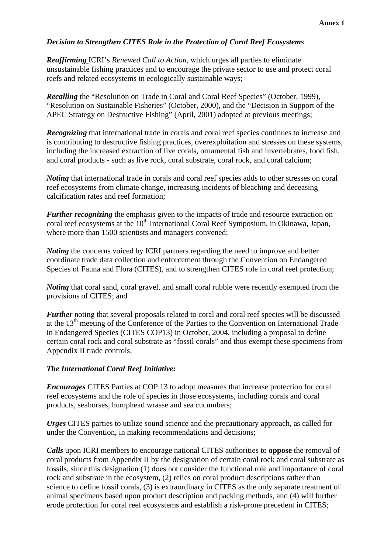## *Decision to Strengthen CITES Role in the Protection of Coral Reef Ecosystems*

*Reaffirming* ICRI's *Renewed Call to Action*, which urges all parties to eliminate unsustainable fishing practices and to encourage the private sector to use and protect coral reefs and related ecosystems in ecologically sustainable ways;

*Recalling* the "Resolution on Trade in Coral and Coral Reef Species" (October, 1999), "Resolution on Sustainable Fisheries" (October, 2000), and the "Decision in Support of the APEC Strategy on Destructive Fishing" (April, 2001) adopted at previous meetings;

*Recognizing* that international trade in corals and coral reef species continues to increase and is contributing to destructive fishing practices, overexploitation and stresses on these systems, including the increased extraction of live corals, ornamental fish and invertebrates, food fish, and coral products - such as live rock, coral substrate, coral rock, and coral calcium;

*Noting* that international trade in corals and coral reef species adds to other stresses on coral reef ecosystems from climate change, increasing incidents of bleaching and deceasing calcification rates and reef formation;

*Further recognizing* the emphasis given to the impacts of trade and resource extraction on coral reef ecosystems at the 10<sup>th</sup> International Coral Reef Symposium, in Okinawa, Japan, where more than 1500 scientists and managers convened;

*Noting* the concerns voiced by ICRI partners regarding the need to improve and better coordinate trade data collection and enforcement through the Convention on Endangered Species of Fauna and Flora (CITES), and to strengthen CITES role in coral reef protection;

*Noting* that coral sand, coral gravel, and small coral rubble were recently exempted from the provisions of CITES; and

*Further* noting that several proposals related to coral and coral reef species will be discussed at the 13<sup>th</sup> meeting of the Conference of the Parties to the Convention on International Trade in Endangered Species (CITES COP13) in October, 2004, including a proposal to define certain coral rock and coral substrate as "fossil corals" and thus exempt these specimens from Appendix II trade controls.

#### *The International Coral Reef Initiative:*

*Encourages* CITES Parties at COP 13 to adopt measures that increase protection for coral reef ecosystems and the role of species in those ecosystems, including corals and coral products, seahorses, humphead wrasse and sea cucumbers;

*Urges* CITES parties to utilize sound science and the precautionary approach, as called for under the Convention, in making recommendations and decisions;

*Calls* upon ICRI members to encourage national CITES authorities to **oppose** the removal of coral products from Appendix II by the designation of certain coral rock and coral substrate as fossils, since this designation (1) does not consider the functional role and importance of coral rock and substrate in the ecosystem, (2) relies on coral product descriptions rather than science to define fossil corals, (3) is extraordinary in CITES as the only separate treatment of animal specimens based upon product description and packing methods, and (4) will further erode protection for coral reef ecosystems and establish a risk-prone precedent in CITES;